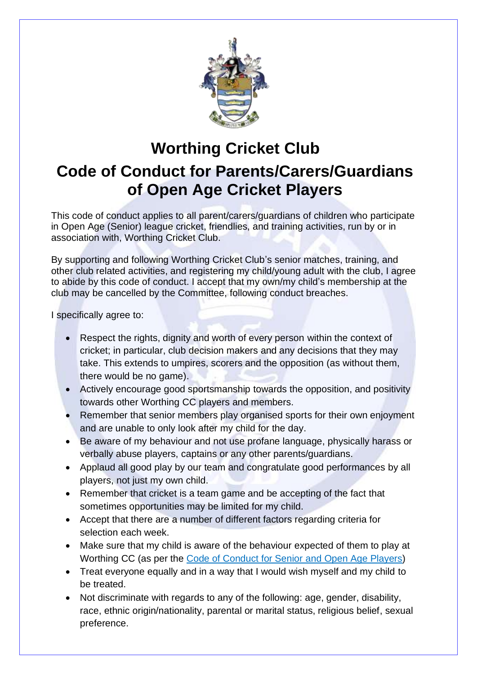

## **Worthing Cricket Club Code of Conduct for Parents/Carers/Guardians of Open Age Cricket Players**

This code of conduct applies to all parent/carers/guardians of children who participate in Open Age (Senior) league cricket, friendlies, and training activities, run by or in association with, Worthing Cricket Club.

By supporting and following Worthing Cricket Club's senior matches, training, and other club related activities, and registering my child/young adult with the club, I agree to abide by this code of conduct. I accept that my own/my child's membership at the club may be cancelled by the Committee, following conduct breaches.

I specifically agree to:

- Respect the rights, dignity and worth of every person within the context of cricket; in particular, club decision makers and any decisions that they may take. This extends to umpires, scorers and the opposition (as without them, there would be no game).
- Actively encourage good sportsmanship towards the opposition, and positivity towards other Worthing CC players and members.
- Remember that senior members play organised sports for their own enjoyment and are unable to only look after my child for the day.
- Be aware of my behaviour and not use profane language, physically harass or verbally abuse players, captains or any other parents/guardians.
- Applaud all good play by our team and congratulate good performances by all players, not just my own child.
- Remember that cricket is a team game and be accepting of the fact that sometimes opportunities may be limited for my child.
- Accept that there are a number of different factors regarding criteria for selection each week.
- Make sure that my child is aware of the behaviour expected of them to play at Worthing CC (as per the [Code of Conduct for Senior](https://worthingcc.com/wcc-content/uploads/2022/03/Worthing-CC-Player-Code-of-Conduct-for-Senior-and-Open-Age.pdf) and Open Age Players)
- Treat everyone equally and in a way that I would wish myself and my child to be treated.
- Not discriminate with regards to any of the following: age, gender, disability, race, ethnic origin/nationality, parental or marital status, religious belief, sexual preference.